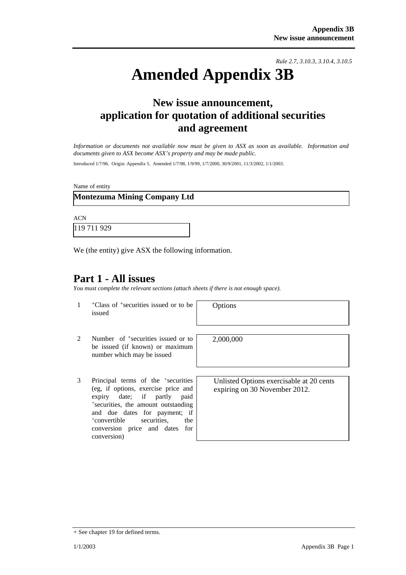*Rule 2.7, 3.10.3, 3.10.4, 3.10.5*

# **Amended Appendix 3B**

# **New issue announcement, application for quotation of additional securities and agreement**

*Information or documents not available now must be given to ASX as soon as available. Information and documents given to ASX become ASX's property and may be made public.* 

Introduced 1/7/96. Origin: Appendix 5. Amended 1/7/98, 1/9/99, 1/7/2000, 30/9/2001, 11/3/2002, 1/1/2003.

Name of entity

### **Montezuma Mining Company Ltd**

ACN 119 711 929

We (the entity) give ASX the following information.

## **Part 1 - All issues**

*You must complete the relevant sections (attach sheets if there is not enough space).*

1 +Class of +securities issued or to be issued

Options

2,000,000

- 2 Number of <sup>+</sup>securities issued or to be issued (if known) or maximum number which may be issued
- 3 Principal terms of the +securities (eg, if options, exercise price and expiry date; if partly paid +securities, the amount outstanding and due dates for payment; if +convertible securities, the conversion price and dates for conversion)

Unlisted Options exercisable at 20 cents expiring on 30 November 2012.

<sup>+</sup> See chapter 19 for defined terms.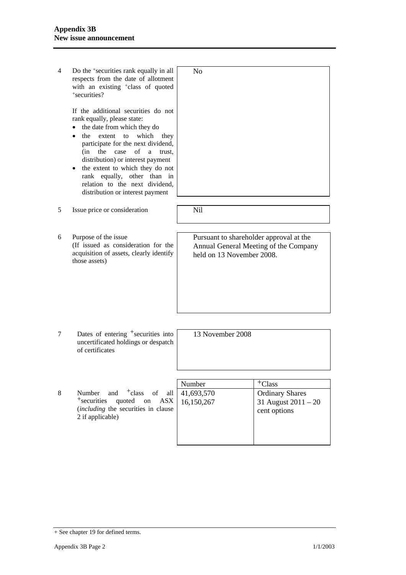4 Do the +securities rank equally in all respects from the date of allotment with an existing <sup>+</sup>class of quoted +securities? If the additional securities do not rank equally, please state: • the date from which they do • the extent to which they participate for the next dividend, (in the case of a trust, distribution) or interest payment • the extent to which they do not rank equally, other than in relation to the next dividend, distribution or interest payment No 5 Issue price or consideration Nil 6 Purpose of the issue (If issued as consideration for the acquisition of assets, clearly identify those assets) Pursuant to shareholder approval at the Annual General Meeting of the Company held on 13 November 2008. 7 Dates of entering <sup>+</sup>securities into uncertificated holdings or despatch of certificates 13 November 2008 Number  $|$  + Class 8 Number and  $\dagger$ class of all +securities quoted on ASX (*including* the securities in clause 2 if applicable) 41,693,570 16,150,267 Ordinary Shares 31 August 2011 – 20 cent options

<sup>+</sup> See chapter 19 for defined terms.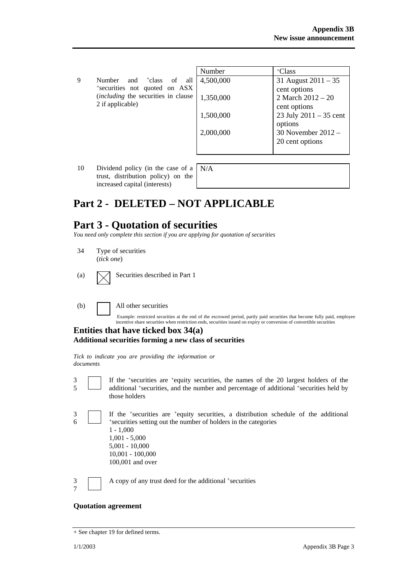|   |                                                                                                                                                | Number    | $+C$ lass                |
|---|------------------------------------------------------------------------------------------------------------------------------------------------|-----------|--------------------------|
| g | Number<br><sup>+</sup> class<br>- of<br>all<br>and<br>*securities not quoted on ASX<br>(including the securities in clause<br>2 if applicable) | 4,500,000 | 31 August $2011 - 35$    |
|   |                                                                                                                                                |           | cent options             |
|   |                                                                                                                                                | 1,350,000 | 2 March $2012 - 20$      |
|   |                                                                                                                                                |           | cent options             |
|   |                                                                                                                                                | 1,500,000 | 23 July $2011 - 35$ cent |
|   |                                                                                                                                                |           | options                  |
|   |                                                                                                                                                | 2,000,000 | 30 November $2012 -$     |
|   |                                                                                                                                                |           | 20 cent options          |
|   |                                                                                                                                                |           |                          |

10 Dividend policy (in the case of a trust, distribution policy) on the increased capital (interests)

N/A

# **Part 2 - DELETED – NOT APPLICABLE**

## **Part 3 - Quotation of securities**

*You need only complete this section if you are applying for quotation of securities* 

- 34 Type of securities (*tick one*)
- 

3

(a)  $\bigvee$  Securities described in Part 1

(b) All other securities

Example: restricted securities at the end of the escrowed period, partly paid securities that become fully paid, employee incentive share securities when restriction ends, securities issued on expiry or conversion of convertible securities

If the +securities are +equity securities, the names of the 20 largest holders of the

#### **Entities that have ticked box 34(a) Additional securities forming a new class of securities**

*Tick to indicate you are providing the information or documents*

5 additional +securities, and the number and percentage of additional +securities held by those holders 3 6 If the +securities are +equity securities, a distribution schedule of the additional +securities setting out the number of holders in the categories 1 - 1,000 1,001 - 5,000 5,001 - 10,000 10,001 - 100,000 100,001 and over 3 7 A copy of any trust deed for the additional +securities

#### **Quotation agreement**

<sup>+</sup> See chapter 19 for defined terms.